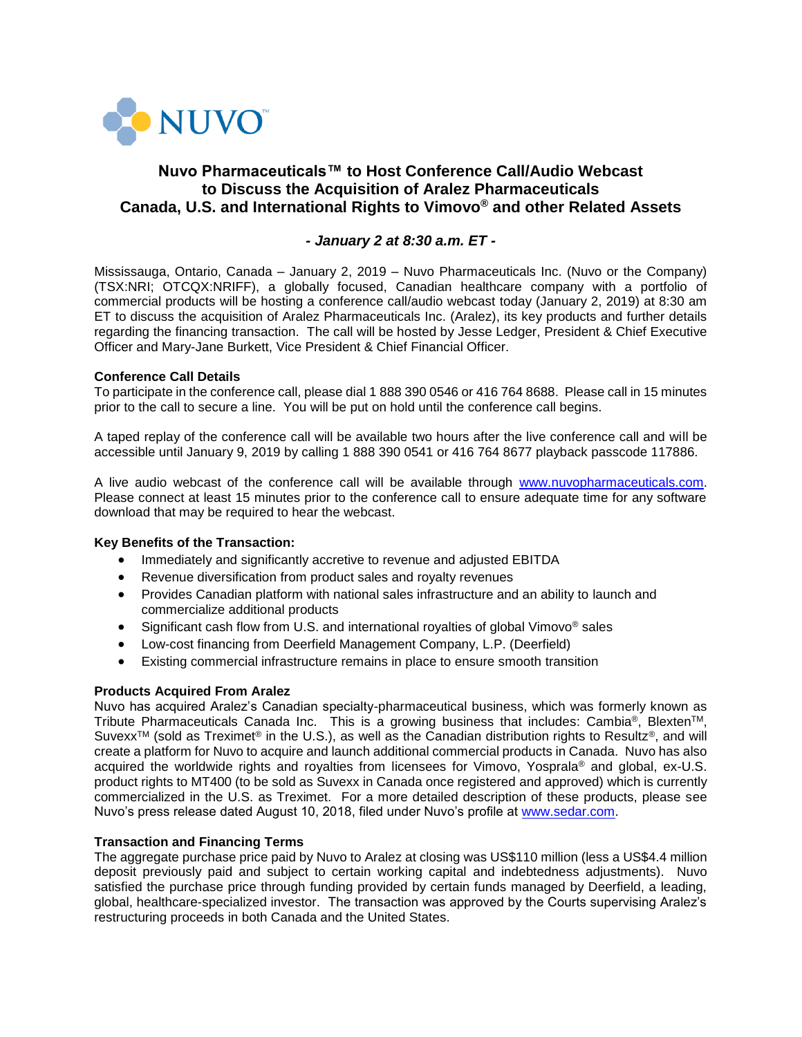

# **Nuvo Pharmaceuticals™ to Host Conference Call/Audio Webcast to Discuss the Acquisition of Aralez Pharmaceuticals Canada, U.S. and International Rights to Vimovo® and other Related Assets**

## *- January 2 at 8:30 a.m. ET -*

Mississauga, Ontario, Canada – January 2, 2019 – Nuvo Pharmaceuticals Inc. (Nuvo or the Company) (TSX:NRI; OTCQX:NRIFF), a globally focused, Canadian healthcare company with a portfolio of commercial products will be hosting a conference call/audio webcast today (January 2, 2019) at 8:30 am ET to discuss the acquisition of Aralez Pharmaceuticals Inc. (Aralez), its key products and further details regarding the financing transaction. The call will be hosted by Jesse Ledger, President & Chief Executive Officer and Mary-Jane Burkett, Vice President & Chief Financial Officer.

### **Conference Call Details**

To participate in the conference call, please dial 1 888 390 0546 or 416 764 8688. Please call in 15 minutes prior to the call to secure a line. You will be put on hold until the conference call begins.

A taped replay of the conference call will be available two hours after the live conference call and will be accessible until January 9, 2019 by calling 1 888 390 0541 or 416 764 8677 playback passcode 117886.

A live audio webcast of the conference call will be available through [www.nuvopharmaceuticals.com.](http://www.nuvopharmaceuticals.com/) Please connect at least 15 minutes prior to the conference call to ensure adequate time for any software download that may be required to hear the webcast.

### **Key Benefits of the Transaction:**

- Immediately and significantly accretive to revenue and adjusted EBITDA
- Revenue diversification from product sales and royalty revenues
- Provides Canadian platform with national sales infrastructure and an ability to launch and commercialize additional products
- Significant cash flow from U.S. and international royalties of global Vimovo® sales
- Low-cost financing from Deerfield Management Company, L.P. (Deerfield)
- Existing commercial infrastructure remains in place to ensure smooth transition

### **Products Acquired From Aralez**

Nuvo has acquired Aralez's Canadian specialty-pharmaceutical business, which was formerly known as Tribute Pharmaceuticals Canada Inc. This is a growing business that includes: Cambia<sup>®</sup>, Blexten<sup>TM</sup>, Suvexx<sup>TM</sup> (sold as Treximet<sup>®</sup> in the U.S.), as well as the Canadian distribution rights to Resultz<sup>®</sup>, and will create a platform for Nuvo to acquire and launch additional commercial products in Canada. Nuvo has also acquired the worldwide rights and royalties from licensees for Vimovo, Yosprala® and global, ex-U.S. product rights to MT400 (to be sold as Suvexx in Canada once registered and approved) which is currently commercialized in the U.S. as Treximet. For a more detailed description of these products, please see Nuvo's press release dated August 10, 2018, filed under Nuvo's profile at [www.sedar.com.](https://www.sedar.com/)

### **Transaction and Financing Terms**

The aggregate purchase price paid by Nuvo to Aralez at closing was US\$110 million (less a US\$4.4 million deposit previously paid and subject to certain working capital and indebtedness adjustments). Nuvo satisfied the purchase price through funding provided by certain funds managed by Deerfield, a leading, global, healthcare-specialized investor. The transaction was approved by the Courts supervising Aralez's restructuring proceeds in both Canada and the United States.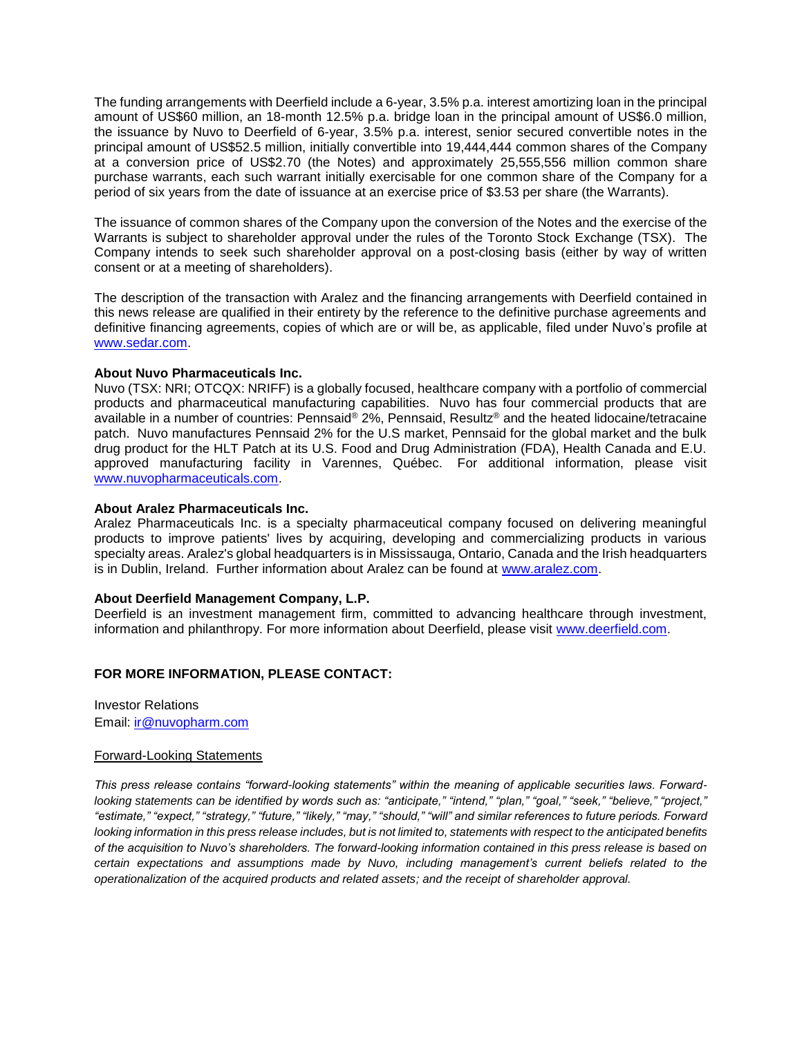The funding arrangements with Deerfield include a 6-year, 3.5% p.a. interest amortizing loan in the principal amount of US\$60 million, an 18-month 12.5% p.a. bridge loan in the principal amount of US\$6.0 million, the issuance by Nuvo to Deerfield of 6-year, 3.5% p.a. interest, senior secured convertible notes in the principal amount of US\$52.5 million, initially convertible into 19,444,444 common shares of the Company at a conversion price of US\$2.70 (the Notes) and approximately 25,555,556 million common share purchase warrants, each such warrant initially exercisable for one common share of the Company for a period of six years from the date of issuance at an exercise price of \$3.53 per share (the Warrants).

The issuance of common shares of the Company upon the conversion of the Notes and the exercise of the Warrants is subject to shareholder approval under the rules of the Toronto Stock Exchange (TSX). The Company intends to seek such shareholder approval on a post-closing basis (either by way of written consent or at a meeting of shareholders).

The description of the transaction with Aralez and the financing arrangements with Deerfield contained in this news release are qualified in their entirety by the reference to the definitive purchase agreements and definitive financing agreements, copies of which are or will be, as applicable, filed under Nuvo's profile at [www.sedar.com.](https://www.sedar.com/)

### **About Nuvo Pharmaceuticals Inc.**

Nuvo (TSX: NRI; OTCQX: NRIFF) is a globally focused, healthcare company with a portfolio of commercial products and pharmaceutical manufacturing capabilities. Nuvo has four commercial products that are available in a number of countries: Pennsaid® 2%, Pennsaid, Resultz® and the heated lidocaine/tetracaine patch. Nuvo manufactures Pennsaid 2% for the U.S market, Pennsaid for the global market and the bulk drug product for the HLT Patch at its U.S. Food and Drug Administration (FDA), Health Canada and E.U. approved manufacturing facility in Varennes, Québec. For additional information, please visit [www.nuvopharmaceuticals.com.](http://www.nuvopharmaceuticals.com/)

#### **About Aralez Pharmaceuticals Inc.**

Aralez Pharmaceuticals Inc. is a specialty pharmaceutical company focused on delivering meaningful products to improve patients' lives by acquiring, developing and commercializing products in various specialty areas. Aralez's global headquarters is in Mississauga, Ontario, Canada and the Irish headquarters is in Dublin, Ireland. Further information about Aralez can be found at [www.aralez.com.](http://www.aralez.com/)

### **About Deerfield Management Company, L.P.**

Deerfield is an investment management firm, committed to advancing healthcare through investment, information and philanthropy. For more information about Deerfield, please visit [www.deerfield.com.](http://www.deerfield.com/)

### **FOR MORE INFORMATION, PLEASE CONTACT:**

Investor Relations Email: [ir@nuvopharm.com](mailto:ir@nuvopharm.com)

### Forward-Looking Statements

*This press release contains "forward-looking statements" within the meaning of applicable securities laws. Forwardlooking statements can be identified by words such as: "anticipate," "intend," "plan," "goal," "seek," "believe," "project," "estimate," "expect," "strategy," "future," "likely," "may," "should," "will" and similar references to future periods. Forward looking information in this press release includes, but is not limited to, statements with respect to the anticipated benefits of the acquisition to Nuvo's shareholders. The forward-looking information contained in this press release is based on certain expectations and assumptions made by Nuvo, including management's current beliefs related to the operationalization of the acquired products and related assets; and the receipt of shareholder approval.*